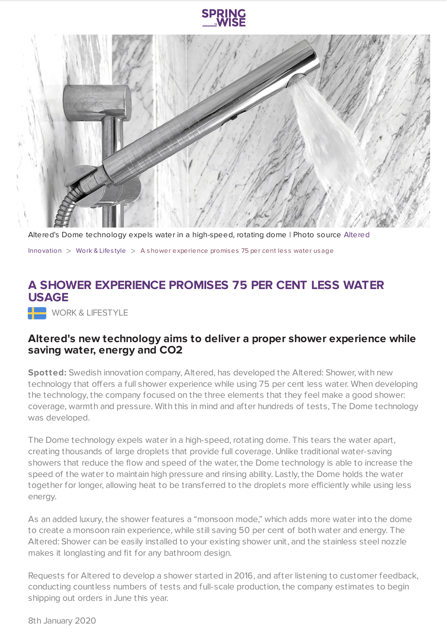



Altered's Dome technology expels water in a high-speed, rotating dome | Photo source [Altered](https://www.kickstarter.com/projects/alteredshower/altered-shower-an-exceptional-shower-with-75-less-water?ref=Fundedtoday&utm_medium=referral&utm_source=yanko.fnd.to)

[Innovation](https://www.springwise.com/search?type=innovation)  $>$  [Work](https://www.springwise.com/search?type=innovation§or=work-lifestyle) & Lifestyle  $>$  A shower experience promises 75 per cent less water usage

## **A SHOWER EXPERIENCE PROMISES 75 PER CENT LESS WATER USAGE**

WORK & LIFESTYLE

## **Altered's new technology aims to deliver a proper shower experience while saving water, energy and CO2**

**Spotted:** Swedish innovation company, Altered, has developed the Altered: Shower, with new technology that offers a full shower experience while using 75 per cent less water. When developing the technology, the company focused on the three elements that they feel make a good shower: coverage, warmth and pressure. With this in mind and after hundreds of tests, The Dome technology was developed.

The Dome technology expels water in a high-speed, rotating dome. This tears the water apart, creating thousands of large droplets that provide full coverage. Unlike traditional water-saving showers that reduce the flow and speed of the water, the Dome technology is able to increase the speed of the water to maintain high pressure and rinsing ability. Lastly, the Dome holds the water together for longer, allowing heat to be transferred to the droplets more efficiently while using less energy.

As an added luxury, the shower features a "monsoon mode," which adds more water into the dome to create a monsoon rain experience, while still saving 50 per cent of both water and energy. The Altered: Shower can be easily installed to your existing shower unit, and the stainless steel nozzle makes it longlasting and fit for any bathroom design.

Requests for Altered to develop a shower started in 2016, and after listening to customer feedback, conducting countless numbers of tests and full-scale production, the company estimates to begin shipping out orders in June this year.